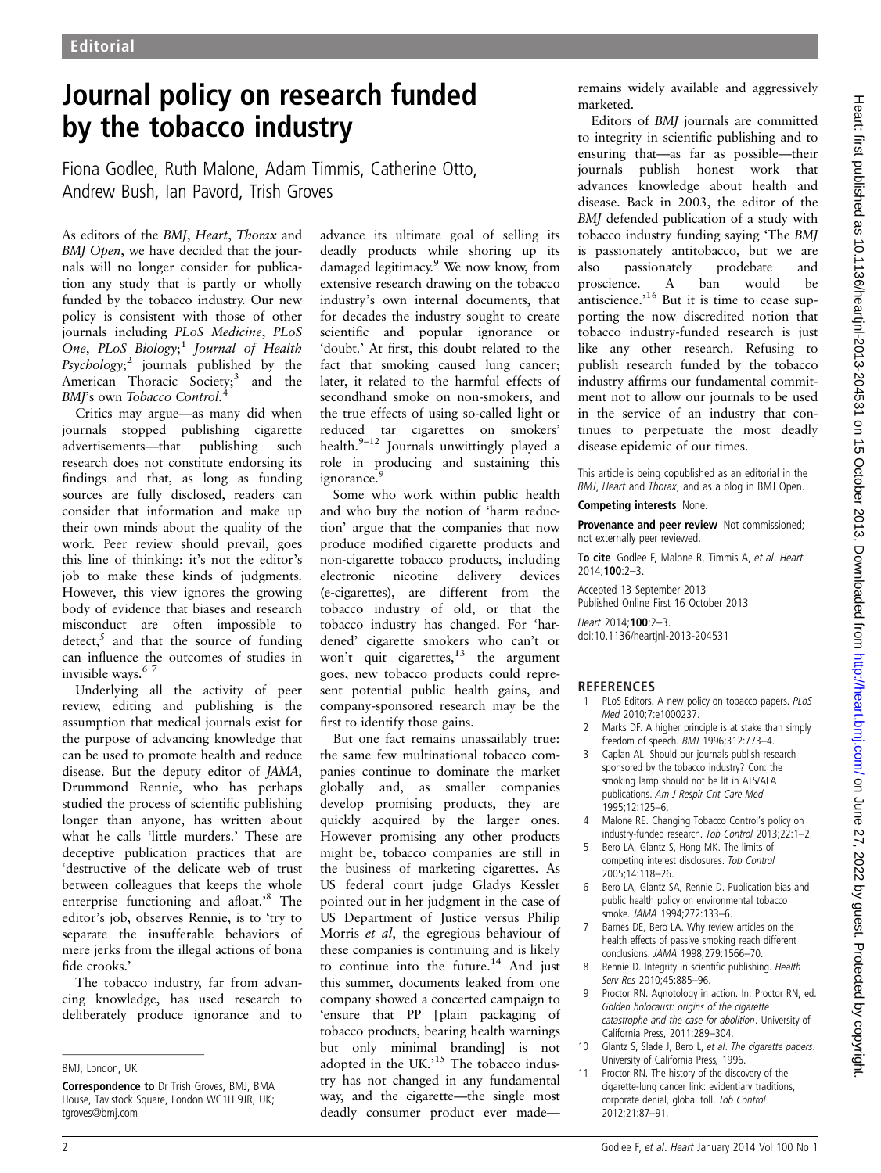## Journal policy on research funded by the tobacco industry

Fiona Godlee, Ruth Malone, Adam Timmis, Catherine Otto, Andrew Bush, Ian Pavord, Trish Groves

As editors of the BMJ, Heart, Thorax and BMJ Open, we have decided that the journals will no longer consider for publication any study that is partly or wholly funded by the tobacco industry. Our new policy is consistent with those of other journals including PLoS Medicine, PLoS One, PLoS Biology;<sup>1</sup> Journal of Health Psychology;<sup>2</sup> journals published by the American Thoracic Society;<sup>3</sup> and the BMJ's own Tobacco Control.<sup>4</sup>

Critics may argue—as many did when journals stopped publishing cigarette advertisements—that publishing such research does not constitute endorsing its findings and that, as long as funding sources are fully disclosed, readers can consider that information and make up their own minds about the quality of the work. Peer review should prevail, goes this line of thinking: it's not the editor's job to make these kinds of judgments. However, this view ignores the growing body of evidence that biases and research misconduct are often impossible to detect, $5$  and that the source of funding can influence the outcomes of studies in invisible ways.<sup>67</sup>

Underlying all the activity of peer review, editing and publishing is the assumption that medical journals exist for the purpose of advancing knowledge that can be used to promote health and reduce disease. But the deputy editor of JAMA, Drummond Rennie, who has perhaps studied the process of scientific publishing longer than anyone, has written about what he calls 'little murders.' These are deceptive publication practices that are 'destructive of the delicate web of trust between colleagues that keeps the whole enterprise functioning and afloat.'<sup>8</sup> The editor's job, observes Rennie, is to 'try to separate the insufferable behaviors of mere jerks from the illegal actions of bona fide crooks.'

The tobacco industry, far from advancing knowledge, has used research to deliberately produce ignorance and to advance its ultimate goal of selling its deadly products while shoring up its damaged legitimacy.<sup>9</sup> We now know, from extensive research drawing on the tobacco industry's own internal documents, that for decades the industry sought to create scientific and popular ignorance or 'doubt.' At first, this doubt related to the fact that smoking caused lung cancer; later, it related to the harmful effects of secondhand smoke on non-smokers, and the true effects of using so-called light or reduced tar cigarettes on smokers' health.<sup>9-12</sup> Journals unwittingly played a role in producing and sustaining this ignorance.<sup>9</sup>

Some who work within public health and who buy the notion of 'harm reduction' argue that the companies that now produce modified cigarette products and non-cigarette tobacco products, including electronic nicotine delivery devices (e-cigarettes), are different from the tobacco industry of old, or that the tobacco industry has changed. For 'hardened' cigarette smokers who can't or won't quit cigarettes, $^{13}$  the argument goes, new tobacco products could represent potential public health gains, and company-sponsored research may be the first to identify those gains.

But one fact remains unassailably true: the same few multinational tobacco companies continue to dominate the market globally and, as smaller companies develop promising products, they are quickly acquired by the larger ones. However promising any other products might be, tobacco companies are still in the business of marketing cigarettes. As US federal court judge Gladys Kessler pointed out in her judgment in the case of US Department of Justice versus Philip Morris et al, the egregious behaviour of these companies is continuing and is likely to continue into the future.<sup>14</sup> And just this summer, documents leaked from one company showed a concerted campaign to 'ensure that PP [plain packaging of tobacco products, bearing health warnings but only minimal branding] is not adopted in the UK.' <sup>15</sup> The tobacco industry has not changed in any fundamental way, and the cigarette—the single most deadly consumer product ever maderemains widely available and aggressively marketed.

Editors of BMJ journals are committed to integrity in scientific publishing and to ensuring that—as far as possible—their journals publish honest work that advances knowledge about health and disease. Back in 2003, the editor of the BMJ defended publication of a study with tobacco industry funding saying 'The BMJ is passionately antitobacco, but we are also passionately prodebate and proscience. A ban would be antiscience.<sup>16</sup> But it is time to cease supporting the now discredited notion that tobacco industry-funded research is just like any other research. Refusing to publish research funded by the tobacco industry affirms our fundamental commitment not to allow our journals to be used in the service of an industry that continues to perpetuate the most deadly disease epidemic of our times.

This article is being copublished as an editorial in the BMJ, Heart and Thorax, and as a blog in BMJ Open.

Competing interests None.

Provenance and peer review Not commissioned; not externally peer reviewed.

To cite Godlee F, Malone R, Timmis A, et al. Heart 2014;100:2–3.

Accepted 13 September 2013 Published Online First 16 October 2013

Heart 2014:100:2-3. doi:10.1136/heartjnl-2013-204531

## **REFERENCES**

- 1 PLoS Editors. A new policy on tobacco papers. PLoS Med 2010;7:e1000237.
- 2 Marks DF. A higher principle is at stake than simply freedom of speech. BMJ 1996;312:773–4.
- 3 Caplan AL. Should our journals publish research sponsored by the tobacco industry? Con: the smoking lamp should not be lit in ATS/ALA publications. Am J Respir Crit Care Med  $1995:12:125-6$
- 4 Malone RE. Changing Tobacco Control's policy on industry-funded research. Tob Control 2013;22:1–2.
- 5 Bero LA, Glantz S, Hong MK. The limits of competing interest disclosures. Tob Control 2005;14:118–26.
- 6 Bero LA, Glantz SA, Rennie D. Publication bias and public health policy on environmental tobacco smoke. JAMA 1994;272:133–6.
- 7 Barnes DE, Bero LA. Why review articles on the health effects of passive smoking reach different conclusions. JAMA 1998;279:1566–70.
- 8 Rennie D. Integrity in scientific publishing. Health Serv Res 2010;45:885–96.
- 9 Proctor RN. Agnotology in action. In: Proctor RN, ed. Golden holocaust: origins of the cigarette catastrophe and the case for abolition. University of California Press, 2011:289–304.
- 10 Glantz S, Slade J, Bero L, et al. The cigarette papers. University of California Press, 1996.
- 11 Proctor RN. The history of the discovery of the cigarette-lung cancer link: evidentiary traditions, corporate denial, global toll. Tob Control 2012;21:87–91.

BMJ, London, UK

Correspondence to Dr Trish Groves, BMJ, BMA House, Tavistock Square, London WC1H 9JR, UK; tgroves@bmj.com